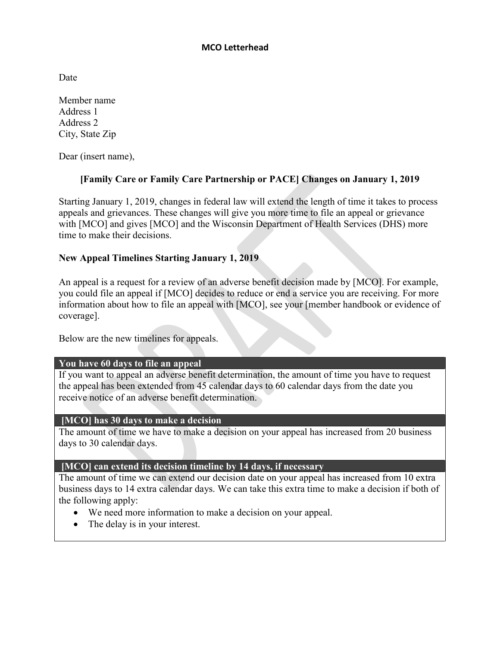### **MCO Letterhead**

Date

Member name Address 1 Address 2 City, State Zip

Dear (insert name),

# **[Family Care or Family Care Partnership or PACE] Changes on January 1, 2019**

Starting January 1, 2019, changes in federal law will extend the length of time it takes to process appeals and grievances. These changes will give you more time to file an appeal or grievance with [MCO] and gives [MCO] and the Wisconsin Department of Health Services (DHS) more time to make their decisions.

### **New Appeal Timelines Starting January 1, 2019**

An appeal is a request for a review of an adverse benefit decision made by [MCO]. For example, you could file an appeal if [MCO] decides to reduce or end a service you are receiving. For more information about how to file an appeal with [MCO], see your [member handbook or evidence of coverage].

Below are the new timelines for appeals.

# **You have 60 days to file an appeal**

If you want to appeal an adverse benefit determination, the amount of time you have to request the appeal has been extended from 45 calendar days to 60 calendar days from the date you receive notice of an adverse benefit determination.

### **[MCO] has 30 days to make a decision**

The amount of time we have to make a decision on your appeal has increased from 20 business days to 30 calendar days.

### **[MCO] can extend its decision timeline by 14 days, if necessary**

The amount of time we can extend our decision date on your appeal has increased from 10 extra business days to 14 extra calendar days. We can take this extra time to make a decision if both of the following apply:

- We need more information to make a decision on your appeal.
- The delay is in your interest.